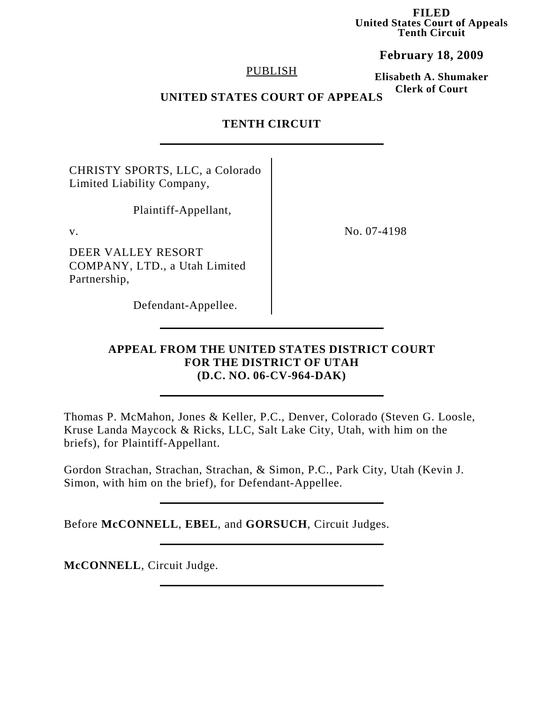**FILED United States Court of Appeals Tenth Circuit**

**February 18, 2009**

## PUBLISH

**Elisabeth A. Shumaker Clerk of Court**

## **UNITED STATES COURT OF APPEALS**

## **TENTH CIRCUIT**

CHRISTY SPORTS, LLC, a Colorado Limited Liability Company,

Plaintiff-Appellant,

DEER VALLEY RESORT COMPANY, LTD., a Utah Limited Partnership,

v. No. 07-4198

Defendant-Appellee.

## **APPEAL FROM THE UNITED STATES DISTRICT COURT FOR THE DISTRICT OF UTAH (D.C. NO. 06-CV-964-DAK)**

Thomas P. McMahon, Jones & Keller, P.C., Denver, Colorado (Steven G. Loosle, Kruse Landa Maycock & Ricks, LLC, Salt Lake City, Utah, with him on the briefs), for Plaintiff-Appellant.

Gordon Strachan, Strachan, Strachan, & Simon, P.C., Park City, Utah (Kevin J. Simon, with him on the brief), for Defendant-Appellee.

Before **McCONNELL**, **EBEL**, and **GORSUCH**, Circuit Judges.

**McCONNELL**, Circuit Judge.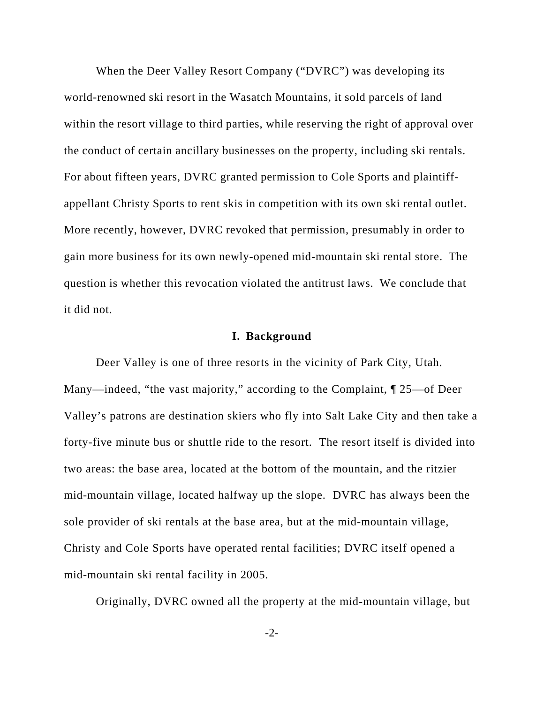When the Deer Valley Resort Company ("DVRC") was developing its world-renowned ski resort in the Wasatch Mountains, it sold parcels of land within the resort village to third parties, while reserving the right of approval over the conduct of certain ancillary businesses on the property, including ski rentals. For about fifteen years, DVRC granted permission to Cole Sports and plaintiffappellant Christy Sports to rent skis in competition with its own ski rental outlet. More recently, however, DVRC revoked that permission, presumably in order to gain more business for its own newly-opened mid-mountain ski rental store. The question is whether this revocation violated the antitrust laws. We conclude that it did not.

### **I. Background**

Deer Valley is one of three resorts in the vicinity of Park City, Utah. Many—indeed, "the vast majority," according to the Complaint, ¶ 25—of Deer Valley's patrons are destination skiers who fly into Salt Lake City and then take a forty-five minute bus or shuttle ride to the resort. The resort itself is divided into two areas: the base area, located at the bottom of the mountain, and the ritzier mid-mountain village, located halfway up the slope. DVRC has always been the sole provider of ski rentals at the base area, but at the mid-mountain village, Christy and Cole Sports have operated rental facilities; DVRC itself opened a mid-mountain ski rental facility in 2005.

Originally, DVRC owned all the property at the mid-mountain village, but

-2-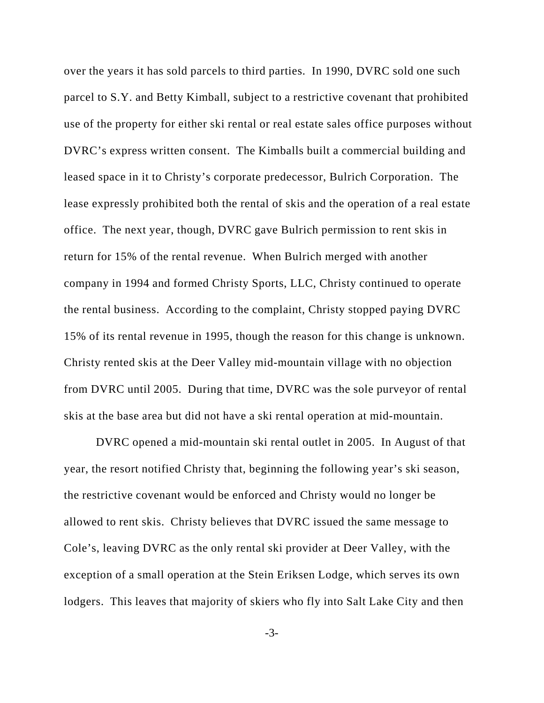over the years it has sold parcels to third parties. In 1990, DVRC sold one such parcel to S.Y. and Betty Kimball, subject to a restrictive covenant that prohibited use of the property for either ski rental or real estate sales office purposes without DVRC's express written consent. The Kimballs built a commercial building and leased space in it to Christy's corporate predecessor, Bulrich Corporation. The lease expressly prohibited both the rental of skis and the operation of a real estate office. The next year, though, DVRC gave Bulrich permission to rent skis in return for 15% of the rental revenue. When Bulrich merged with another company in 1994 and formed Christy Sports, LLC, Christy continued to operate the rental business. According to the complaint, Christy stopped paying DVRC 15% of its rental revenue in 1995, though the reason for this change is unknown. Christy rented skis at the Deer Valley mid-mountain village with no objection from DVRC until 2005. During that time, DVRC was the sole purveyor of rental skis at the base area but did not have a ski rental operation at mid-mountain.

DVRC opened a mid-mountain ski rental outlet in 2005. In August of that year, the resort notified Christy that, beginning the following year's ski season, the restrictive covenant would be enforced and Christy would no longer be allowed to rent skis. Christy believes that DVRC issued the same message to Cole's, leaving DVRC as the only rental ski provider at Deer Valley, with the exception of a small operation at the Stein Eriksen Lodge, which serves its own lodgers. This leaves that majority of skiers who fly into Salt Lake City and then

-3-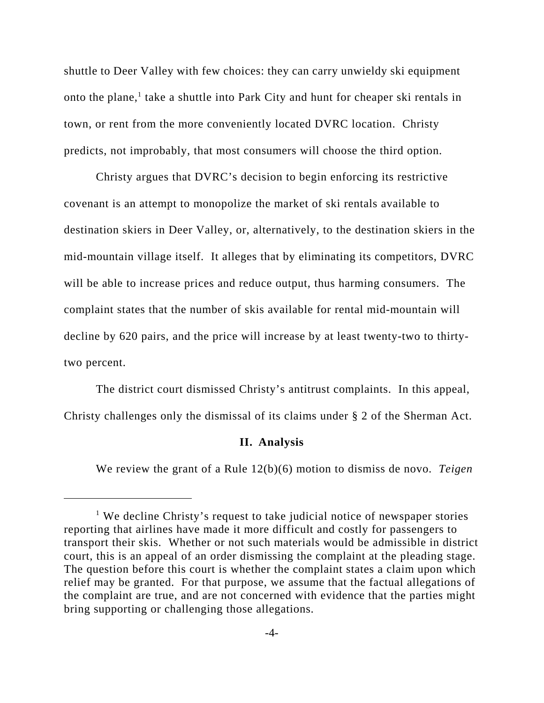shuttle to Deer Valley with few choices: they can carry unwieldy ski equipment onto the plane,<sup>1</sup> take a shuttle into Park City and hunt for cheaper ski rentals in town, or rent from the more conveniently located DVRC location. Christy predicts, not improbably, that most consumers will choose the third option.

Christy argues that DVRC's decision to begin enforcing its restrictive covenant is an attempt to monopolize the market of ski rentals available to destination skiers in Deer Valley, or, alternatively, to the destination skiers in the mid-mountain village itself. It alleges that by eliminating its competitors, DVRC will be able to increase prices and reduce output, thus harming consumers. The complaint states that the number of skis available for rental mid-mountain will decline by 620 pairs, and the price will increase by at least twenty-two to thirtytwo percent.

The district court dismissed Christy's antitrust complaints. In this appeal, Christy challenges only the dismissal of its claims under § 2 of the Sherman Act.

#### **II. Analysis**

We review the grant of a Rule 12(b)(6) motion to dismiss de novo. *Teigen*

<sup>&</sup>lt;sup>1</sup> We decline Christy's request to take judicial notice of newspaper stories reporting that airlines have made it more difficult and costly for passengers to transport their skis. Whether or not such materials would be admissible in district court, this is an appeal of an order dismissing the complaint at the pleading stage. The question before this court is whether the complaint states a claim upon which relief may be granted. For that purpose, we assume that the factual allegations of the complaint are true, and are not concerned with evidence that the parties might bring supporting or challenging those allegations.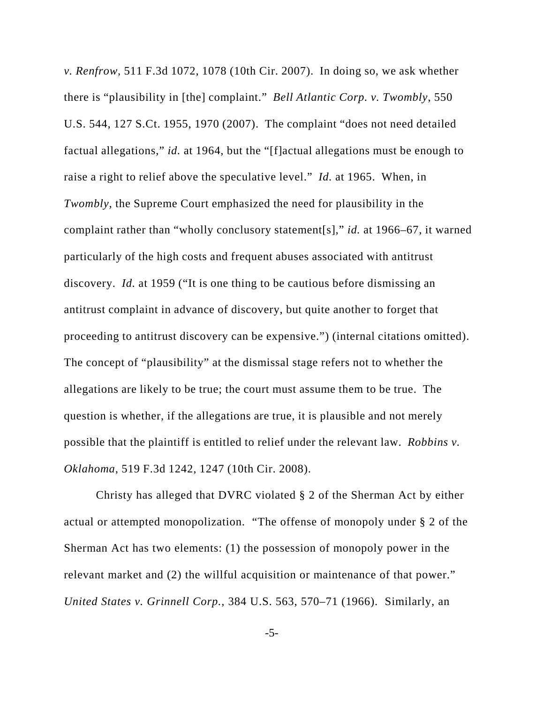*v. Renfrow*, 511 F.3d 1072, 1078 (10th Cir. 2007). In doing so, we ask whether there is "plausibility in [the] complaint." *Bell Atlantic Corp. v. Twombly*, 550 U.S. 544, 127 S.Ct. 1955, 1970 (2007). The complaint "does not need detailed factual allegations," *id.* at 1964, but the "[f]actual allegations must be enough to raise a right to relief above the speculative level." *Id.* at 1965. When, in *Twombly*, the Supreme Court emphasized the need for plausibility in the complaint rather than "wholly conclusory statement[s]," *id.* at 1966–67, it warned particularly of the high costs and frequent abuses associated with antitrust discovery. *Id.* at 1959 ("It is one thing to be cautious before dismissing an antitrust complaint in advance of discovery, but quite another to forget that proceeding to antitrust discovery can be expensive.") (internal citations omitted). The concept of "plausibility" at the dismissal stage refers not to whether the allegations are likely to be true; the court must assume them to be true. The question is whether, if the allegations are true, it is plausible and not merely possible that the plaintiff is entitled to relief under the relevant law. *Robbins v. Oklahoma*, 519 F.3d 1242, 1247 (10th Cir. 2008).

Christy has alleged that DVRC violated § 2 of the Sherman Act by either actual or attempted monopolization. "The offense of monopoly under § 2 of the Sherman Act has two elements: (1) the possession of monopoly power in the relevant market and (2) the willful acquisition or maintenance of that power." *United States v. Grinnell Corp.*, 384 U.S. 563, 570–71 (1966). Similarly, an

-5-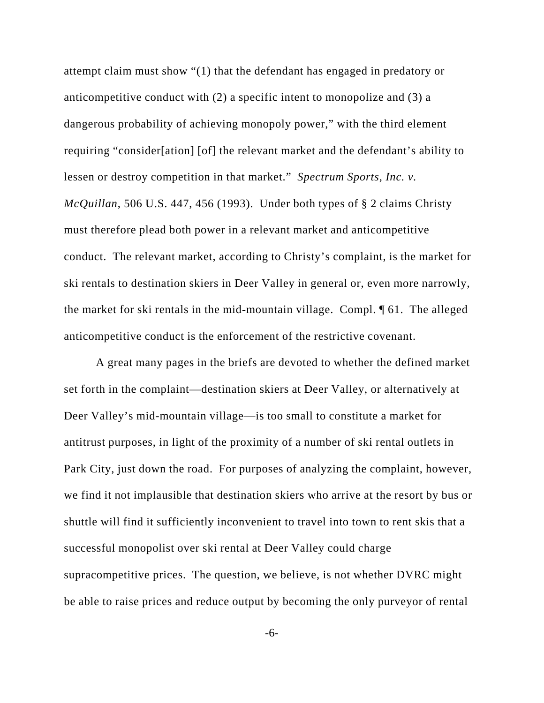attempt claim must show "(1) that the defendant has engaged in predatory or anticompetitive conduct with (2) a specific intent to monopolize and (3) a dangerous probability of achieving monopoly power," with the third element requiring "consider[ation] [of] the relevant market and the defendant's ability to lessen or destroy competition in that market." *Spectrum Sports, Inc. v. McQuillan*, 506 U.S. 447, 456 (1993). Under both types of § 2 claims Christy must therefore plead both power in a relevant market and anticompetitive conduct. The relevant market, according to Christy's complaint, is the market for ski rentals to destination skiers in Deer Valley in general or, even more narrowly, the market for ski rentals in the mid-mountain village. Compl. ¶ 61. The alleged anticompetitive conduct is the enforcement of the restrictive covenant.

A great many pages in the briefs are devoted to whether the defined market set forth in the complaint—destination skiers at Deer Valley, or alternatively at Deer Valley's mid-mountain village—is too small to constitute a market for antitrust purposes, in light of the proximity of a number of ski rental outlets in Park City, just down the road. For purposes of analyzing the complaint, however, we find it not implausible that destination skiers who arrive at the resort by bus or shuttle will find it sufficiently inconvenient to travel into town to rent skis that a successful monopolist over ski rental at Deer Valley could charge supracompetitive prices. The question, we believe, is not whether DVRC might be able to raise prices and reduce output by becoming the only purveyor of rental

-6-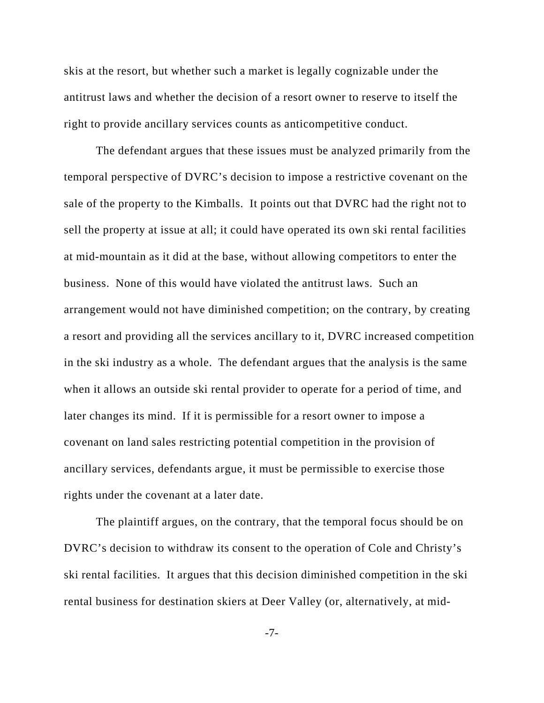skis at the resort, but whether such a market is legally cognizable under the antitrust laws and whether the decision of a resort owner to reserve to itself the right to provide ancillary services counts as anticompetitive conduct.

The defendant argues that these issues must be analyzed primarily from the temporal perspective of DVRC's decision to impose a restrictive covenant on the sale of the property to the Kimballs. It points out that DVRC had the right not to sell the property at issue at all; it could have operated its own ski rental facilities at mid-mountain as it did at the base, without allowing competitors to enter the business. None of this would have violated the antitrust laws. Such an arrangement would not have diminished competition; on the contrary, by creating a resort and providing all the services ancillary to it, DVRC increased competition in the ski industry as a whole. The defendant argues that the analysis is the same when it allows an outside ski rental provider to operate for a period of time, and later changes its mind. If it is permissible for a resort owner to impose a covenant on land sales restricting potential competition in the provision of ancillary services, defendants argue, it must be permissible to exercise those rights under the covenant at a later date.

The plaintiff argues, on the contrary, that the temporal focus should be on DVRC's decision to withdraw its consent to the operation of Cole and Christy's ski rental facilities. It argues that this decision diminished competition in the ski rental business for destination skiers at Deer Valley (or, alternatively, at mid-

-7-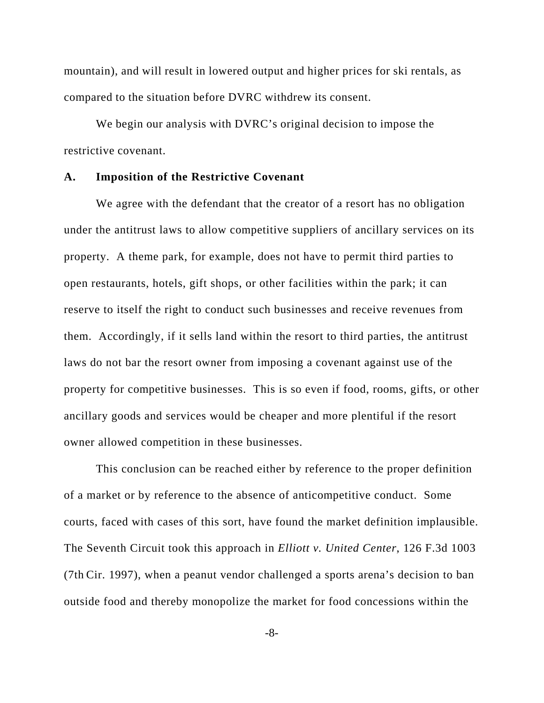mountain), and will result in lowered output and higher prices for ski rentals, as compared to the situation before DVRC withdrew its consent.

We begin our analysis with DVRC's original decision to impose the restrictive covenant.

### **A. Imposition of the Restrictive Covenant**

We agree with the defendant that the creator of a resort has no obligation under the antitrust laws to allow competitive suppliers of ancillary services on its property. A theme park, for example, does not have to permit third parties to open restaurants, hotels, gift shops, or other facilities within the park; it can reserve to itself the right to conduct such businesses and receive revenues from them. Accordingly, if it sells land within the resort to third parties, the antitrust laws do not bar the resort owner from imposing a covenant against use of the property for competitive businesses. This is so even if food, rooms, gifts, or other ancillary goods and services would be cheaper and more plentiful if the resort owner allowed competition in these businesses.

This conclusion can be reached either by reference to the proper definition of a market or by reference to the absence of anticompetitive conduct. Some courts, faced with cases of this sort, have found the market definition implausible. The Seventh Circuit took this approach in *Elliott v. United Center*, 126 F.3d 1003 (7th Cir. 1997), when a peanut vendor challenged a sports arena's decision to ban outside food and thereby monopolize the market for food concessions within the

-8-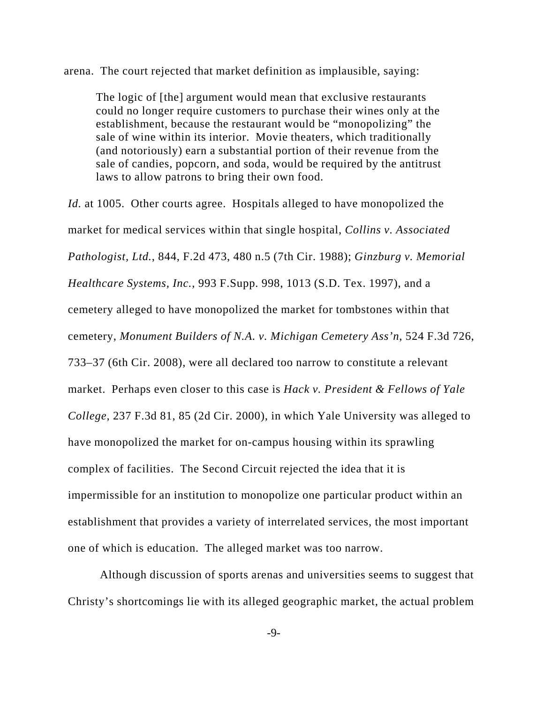arena. The court rejected that market definition as implausible, saying:

The logic of [the] argument would mean that exclusive restaurants could no longer require customers to purchase their wines only at the establishment, because the restaurant would be "monopolizing" the sale of wine within its interior. Movie theaters, which traditionally (and notoriously) earn a substantial portion of their revenue from the sale of candies, popcorn, and soda, would be required by the antitrust laws to allow patrons to bring their own food.

*Id.* at 1005. Other courts agree. Hospitals alleged to have monopolized the market for medical services within that single hospital, *Collins v. Associated Pathologist, Ltd.*, 844, F.2d 473, 480 n.5 (7th Cir. 1988); *Ginzburg v. Memorial Healthcare Systems, Inc.*, 993 F.Supp. 998, 1013 (S.D. Tex. 1997), and a cemetery alleged to have monopolized the market for tombstones within that cemetery, *Monument Builders of N.A. v. Michigan Cemetery Ass'n*, 524 F.3d 726, 733–37 (6th Cir. 2008), were all declared too narrow to constitute a relevant market. Perhaps even closer to this case is *Hack v. President & Fellows of Yale College*, 237 F.3d 81, 85 (2d Cir. 2000), in which Yale University was alleged to have monopolized the market for on-campus housing within its sprawling complex of facilities. The Second Circuit rejected the idea that it is impermissible for an institution to monopolize one particular product within an establishment that provides a variety of interrelated services, the most important one of which is education. The alleged market was too narrow.

Although discussion of sports arenas and universities seems to suggest that Christy's shortcomings lie with its alleged geographic market, the actual problem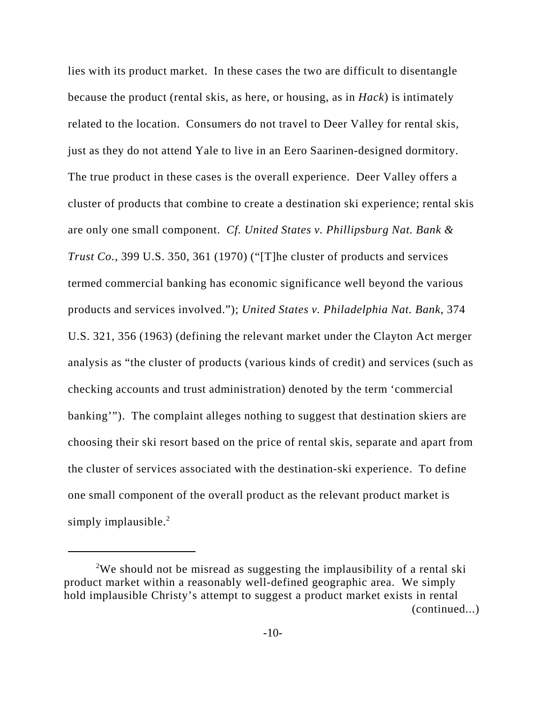lies with its product market. In these cases the two are difficult to disentangle because the product (rental skis, as here, or housing, as in *Hack*) is intimately related to the location. Consumers do not travel to Deer Valley for rental skis, just as they do not attend Yale to live in an Eero Saarinen-designed dormitory. The true product in these cases is the overall experience. Deer Valley offers a cluster of products that combine to create a destination ski experience; rental skis are only one small component. *Cf. United States v. Phillipsburg Nat. Bank & Trust Co.*, 399 U.S. 350, 361 (1970) ("[T]he cluster of products and services termed commercial banking has economic significance well beyond the various products and services involved."); *United States v. Philadelphia Nat. Bank*, 374 U.S. 321, 356 (1963) (defining the relevant market under the Clayton Act merger analysis as "the cluster of products (various kinds of credit) and services (such as checking accounts and trust administration) denoted by the term 'commercial banking'"). The complaint alleges nothing to suggest that destination skiers are choosing their ski resort based on the price of rental skis, separate and apart from the cluster of services associated with the destination-ski experience. To define one small component of the overall product as the relevant product market is simply implausible. $2$ 

<sup>&</sup>lt;sup>2</sup>We should not be misread as suggesting the implausibility of a rental ski product market within a reasonably well-defined geographic area. We simply hold implausible Christy's attempt to suggest a product market exists in rental (continued...)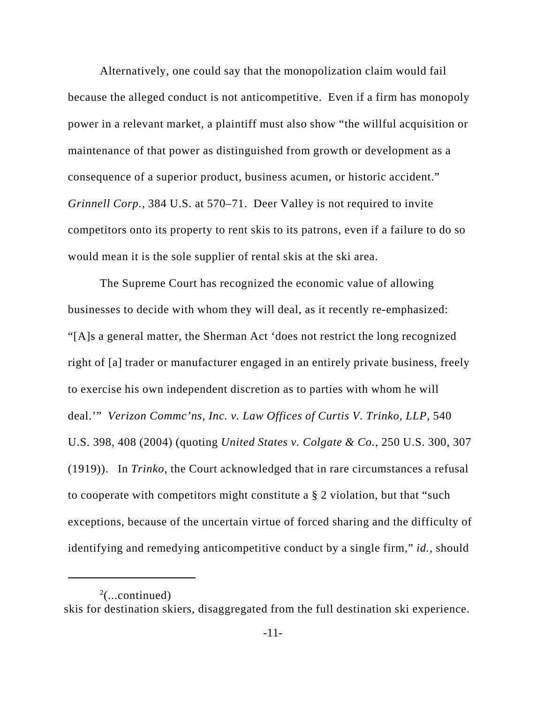Alternatively, one could say that the monopolization claim would fail because the alleged conduct is not anticompetitive. Even if a firm has monopoly power in a relevant market, a plaintiff must also show "the willful acquisition or maintenance of that power as distinguished from growth or development as a consequence of a superior product, business acumen, or historic accident." *Grinnell Corp.*, 384 U.S. at 570–71. Deer Valley is not required to invite competitors onto its property to rent skis to its patrons, even if a failure to do so would mean it is the sole supplier of rental skis at the ski area.

The Supreme Court has recognized the economic value of allowing businesses to decide with whom they will deal, as it recently re-emphasized: "[A]s a general matter, the Sherman Act 'does not restrict the long recognized right of [a] trader or manufacturer engaged in an entirely private business, freely to exercise his own independent discretion as to parties with whom he will deal.'" *Verizon Commc'ns, Inc. v. Law Offices of Curtis V. Trinko, LLP*, 540 U.S. 398, 408 (2004) (quoting *United States v. Colgate & Co.*, 250 U.S. 300, 307 (1919)). In *Trinko*, the Court acknowledged that in rare circumstances a refusal to cooperate with competitors might constitute a § 2 violation, but that "such exceptions, because of the uncertain virtue of forced sharing and the difficulty of identifying and remedying anticompetitive conduct by a single firm," *id.*, should

skis for destination skiers, disaggregated from the full destination ski experience.

 $2$ (...continued)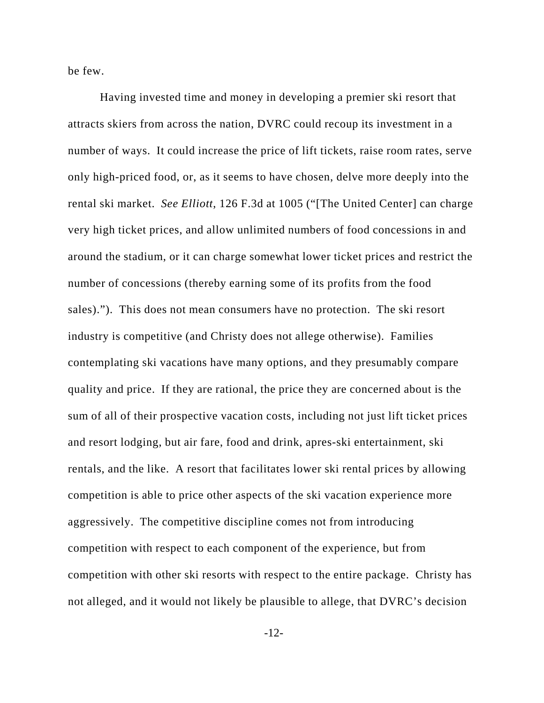be few.

Having invested time and money in developing a premier ski resort that attracts skiers from across the nation, DVRC could recoup its investment in a number of ways. It could increase the price of lift tickets, raise room rates, serve only high-priced food, or, as it seems to have chosen, delve more deeply into the rental ski market. *See Elliott*, 126 F.3d at 1005 ("[The United Center] can charge very high ticket prices, and allow unlimited numbers of food concessions in and around the stadium, or it can charge somewhat lower ticket prices and restrict the number of concessions (thereby earning some of its profits from the food sales)."). This does not mean consumers have no protection. The ski resort industry is competitive (and Christy does not allege otherwise). Families contemplating ski vacations have many options, and they presumably compare quality and price. If they are rational, the price they are concerned about is the sum of all of their prospective vacation costs, including not just lift ticket prices and resort lodging, but air fare, food and drink, apres-ski entertainment, ski rentals, and the like. A resort that facilitates lower ski rental prices by allowing competition is able to price other aspects of the ski vacation experience more aggressively. The competitive discipline comes not from introducing competition with respect to each component of the experience, but from competition with other ski resorts with respect to the entire package. Christy has not alleged, and it would not likely be plausible to allege, that DVRC's decision

-12-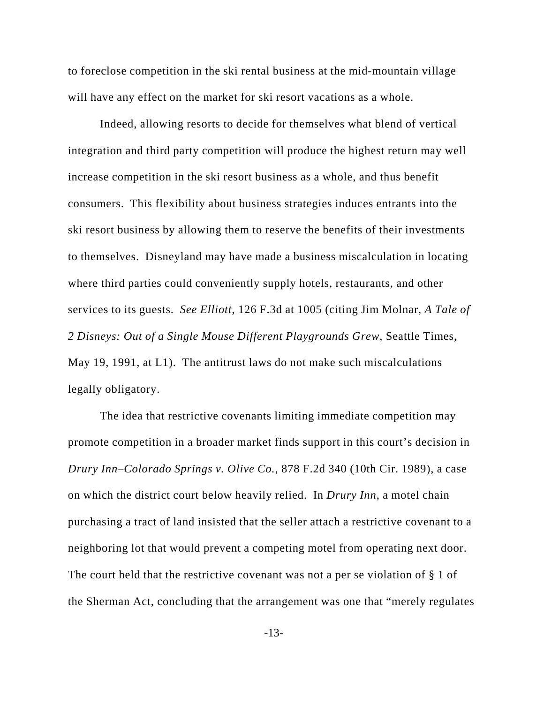to foreclose competition in the ski rental business at the mid-mountain village will have any effect on the market for ski resort vacations as a whole.

Indeed, allowing resorts to decide for themselves what blend of vertical integration and third party competition will produce the highest return may well increase competition in the ski resort business as a whole, and thus benefit consumers. This flexibility about business strategies induces entrants into the ski resort business by allowing them to reserve the benefits of their investments to themselves. Disneyland may have made a business miscalculation in locating where third parties could conveniently supply hotels, restaurants, and other services to its guests. *See Elliott*, 126 F.3d at 1005 (citing Jim Molnar, *A Tale of 2 Disneys: Out of a Single Mouse Different Playgrounds Grew*, Seattle Times, May 19, 1991, at L1). The antitrust laws do not make such miscalculations legally obligatory.

The idea that restrictive covenants limiting immediate competition may promote competition in a broader market finds support in this court's decision in *Drury Inn–Colorado Springs v. Olive Co.*, 878 F.2d 340 (10th Cir. 1989), a case on which the district court below heavily relied. In *Drury Inn*, a motel chain purchasing a tract of land insisted that the seller attach a restrictive covenant to a neighboring lot that would prevent a competing motel from operating next door. The court held that the restrictive covenant was not a per se violation of § 1 of the Sherman Act, concluding that the arrangement was one that "merely regulates

-13-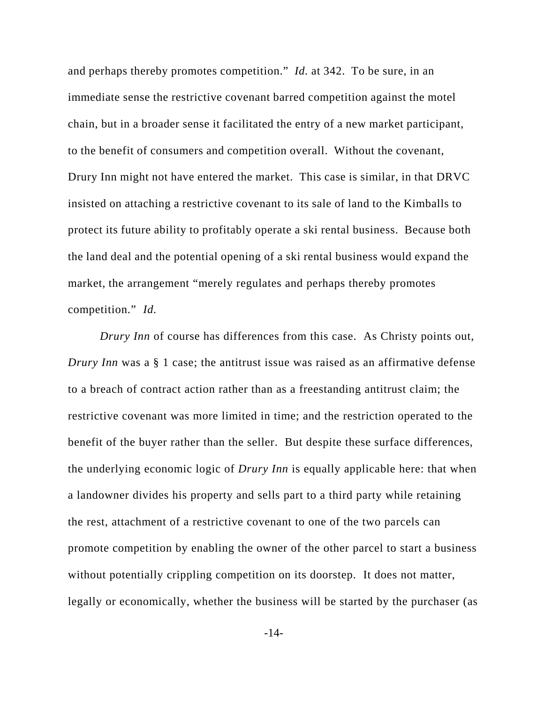and perhaps thereby promotes competition." *Id.* at 342. To be sure, in an immediate sense the restrictive covenant barred competition against the motel chain, but in a broader sense it facilitated the entry of a new market participant, to the benefit of consumers and competition overall. Without the covenant, Drury Inn might not have entered the market. This case is similar, in that DRVC insisted on attaching a restrictive covenant to its sale of land to the Kimballs to protect its future ability to profitably operate a ski rental business. Because both the land deal and the potential opening of a ski rental business would expand the market, the arrangement "merely regulates and perhaps thereby promotes competition." *Id.*

*Drury Inn* of course has differences from this case. As Christy points out, *Drury Inn* was a § 1 case; the antitrust issue was raised as an affirmative defense to a breach of contract action rather than as a freestanding antitrust claim; the restrictive covenant was more limited in time; and the restriction operated to the benefit of the buyer rather than the seller. But despite these surface differences, the underlying economic logic of *Drury Inn* is equally applicable here: that when a landowner divides his property and sells part to a third party while retaining the rest, attachment of a restrictive covenant to one of the two parcels can promote competition by enabling the owner of the other parcel to start a business without potentially crippling competition on its doorstep. It does not matter, legally or economically, whether the business will be started by the purchaser (as

-14-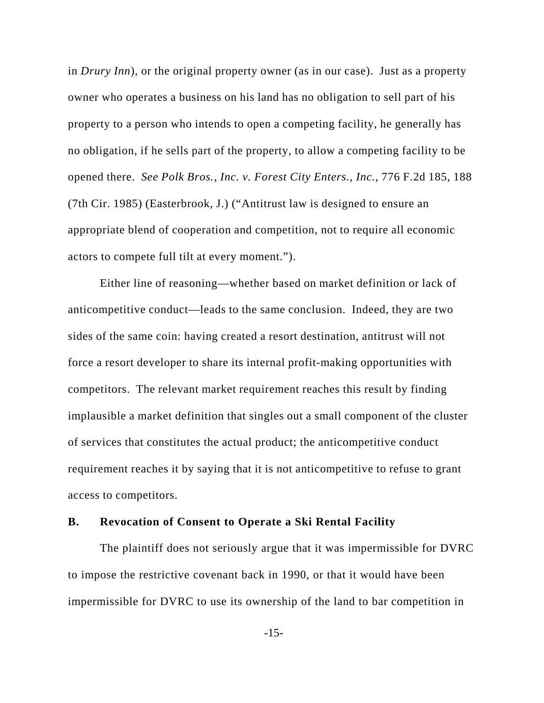in *Drury Inn*), or the original property owner (as in our case). Just as a property owner who operates a business on his land has no obligation to sell part of his property to a person who intends to open a competing facility, he generally has no obligation, if he sells part of the property, to allow a competing facility to be opened there. *See Polk Bros., Inc. v. Forest City Enters., Inc.*, 776 F.2d 185, 188 (7th Cir. 1985) (Easterbrook, J.) ("Antitrust law is designed to ensure an appropriate blend of cooperation and competition, not to require all economic actors to compete full tilt at every moment.").

Either line of reasoning—whether based on market definition or lack of anticompetitive conduct—leads to the same conclusion. Indeed, they are two sides of the same coin: having created a resort destination, antitrust will not force a resort developer to share its internal profit-making opportunities with competitors. The relevant market requirement reaches this result by finding implausible a market definition that singles out a small component of the cluster of services that constitutes the actual product; the anticompetitive conduct requirement reaches it by saying that it is not anticompetitive to refuse to grant access to competitors.

### **B. Revocation of Consent to Operate a Ski Rental Facility**

The plaintiff does not seriously argue that it was impermissible for DVRC to impose the restrictive covenant back in 1990, or that it would have been impermissible for DVRC to use its ownership of the land to bar competition in

-15-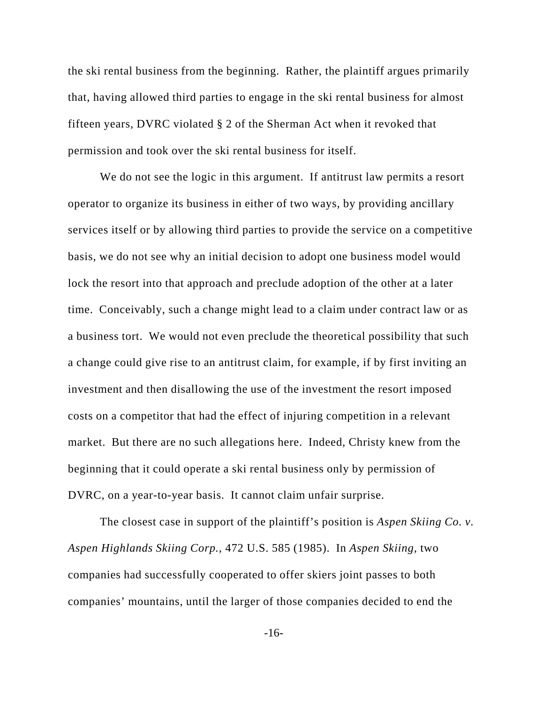the ski rental business from the beginning. Rather, the plaintiff argues primarily that, having allowed third parties to engage in the ski rental business for almost fifteen years, DVRC violated § 2 of the Sherman Act when it revoked that permission and took over the ski rental business for itself.

We do not see the logic in this argument. If antitrust law permits a resort operator to organize its business in either of two ways, by providing ancillary services itself or by allowing third parties to provide the service on a competitive basis, we do not see why an initial decision to adopt one business model would lock the resort into that approach and preclude adoption of the other at a later time. Conceivably, such a change might lead to a claim under contract law or as a business tort. We would not even preclude the theoretical possibility that such a change could give rise to an antitrust claim, for example, if by first inviting an investment and then disallowing the use of the investment the resort imposed costs on a competitor that had the effect of injuring competition in a relevant market. But there are no such allegations here. Indeed, Christy knew from the beginning that it could operate a ski rental business only by permission of DVRC, on a year-to-year basis. It cannot claim unfair surprise.

The closest case in support of the plaintiff's position is *Aspen Skiing Co. v. Aspen Highlands Skiing Corp.*, 472 U.S. 585 (1985). In *Aspen Skiing*, two companies had successfully cooperated to offer skiers joint passes to both companies' mountains, until the larger of those companies decided to end the

-16-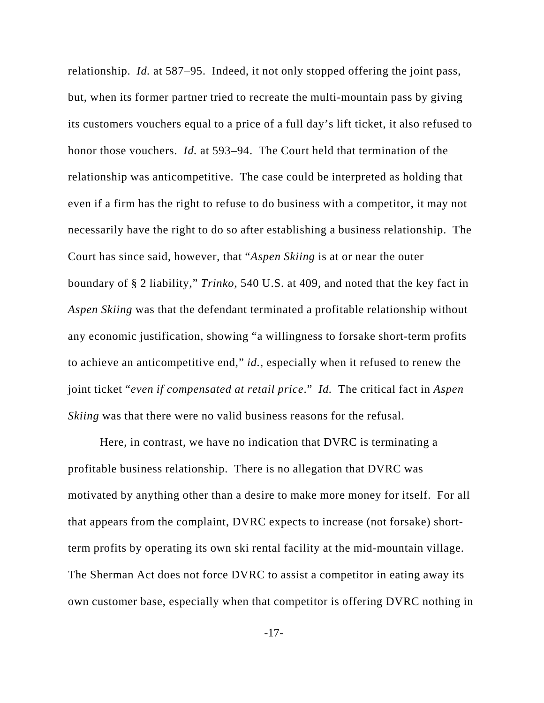relationship. *Id.* at 587–95. Indeed, it not only stopped offering the joint pass, but, when its former partner tried to recreate the multi-mountain pass by giving its customers vouchers equal to a price of a full day's lift ticket, it also refused to honor those vouchers. *Id.* at 593–94. The Court held that termination of the relationship was anticompetitive. The case could be interpreted as holding that even if a firm has the right to refuse to do business with a competitor, it may not necessarily have the right to do so after establishing a business relationship. The Court has since said, however, that "*Aspen Skiing* is at or near the outer boundary of § 2 liability," *Trinko*, 540 U.S. at 409, and noted that the key fact in *Aspen Skiing* was that the defendant terminated a profitable relationship without any economic justification, showing "a willingness to forsake short-term profits to achieve an anticompetitive end," *id.*, especially when it refused to renew the joint ticket "*even if compensated at retail price*." *Id.* The critical fact in *Aspen Skiing* was that there were no valid business reasons for the refusal.

Here, in contrast, we have no indication that DVRC is terminating a profitable business relationship. There is no allegation that DVRC was motivated by anything other than a desire to make more money for itself. For all that appears from the complaint, DVRC expects to increase (not forsake) shortterm profits by operating its own ski rental facility at the mid-mountain village. The Sherman Act does not force DVRC to assist a competitor in eating away its own customer base, especially when that competitor is offering DVRC nothing in

-17-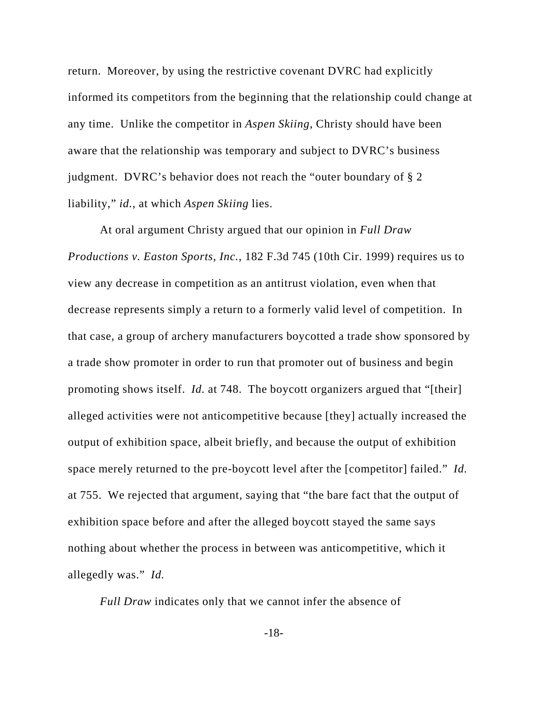return. Moreover, by using the restrictive covenant DVRC had explicitly informed its competitors from the beginning that the relationship could change at any time. Unlike the competitor in *Aspen Skiing*, Christy should have been aware that the relationship was temporary and subject to DVRC's business judgment. DVRC's behavior does not reach the "outer boundary of § 2 liability," *id.*, at which *Aspen Skiing* lies.

At oral argument Christy argued that our opinion in *Full Draw Productions v. Easton Sports, Inc.*, 182 F.3d 745 (10th Cir. 1999) requires us to view any decrease in competition as an antitrust violation, even when that decrease represents simply a return to a formerly valid level of competition. In that case, a group of archery manufacturers boycotted a trade show sponsored by a trade show promoter in order to run that promoter out of business and begin promoting shows itself. *Id.* at 748. The boycott organizers argued that "[their] alleged activities were not anticompetitive because [they] actually increased the output of exhibition space, albeit briefly, and because the output of exhibition space merely returned to the pre-boycott level after the [competitor] failed." *Id.* at 755. We rejected that argument, saying that "the bare fact that the output of exhibition space before and after the alleged boycott stayed the same says nothing about whether the process in between was anticompetitive, which it allegedly was." *Id.*

*Full Draw* indicates only that we cannot infer the absence of

-18-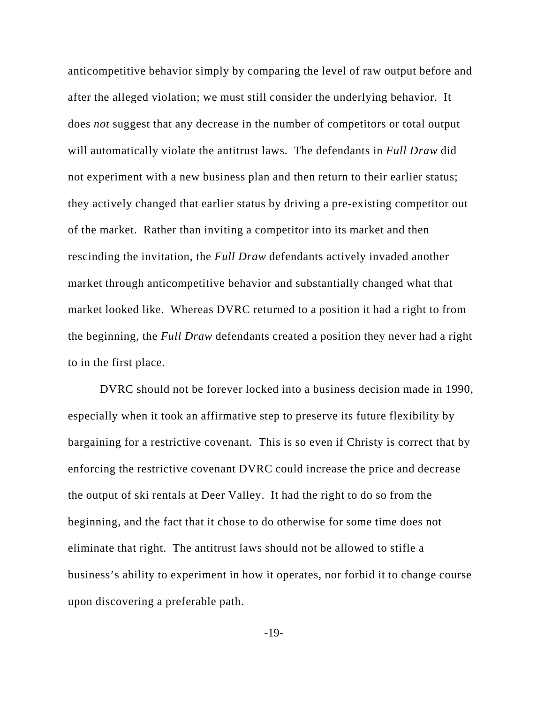anticompetitive behavior simply by comparing the level of raw output before and after the alleged violation; we must still consider the underlying behavior. It does *not* suggest that any decrease in the number of competitors or total output will automatically violate the antitrust laws. The defendants in *Full Draw* did not experiment with a new business plan and then return to their earlier status; they actively changed that earlier status by driving a pre-existing competitor out of the market. Rather than inviting a competitor into its market and then rescinding the invitation, the *Full Draw* defendants actively invaded another market through anticompetitive behavior and substantially changed what that market looked like. Whereas DVRC returned to a position it had a right to from the beginning, the *Full Draw* defendants created a position they never had a right to in the first place.

DVRC should not be forever locked into a business decision made in 1990, especially when it took an affirmative step to preserve its future flexibility by bargaining for a restrictive covenant. This is so even if Christy is correct that by enforcing the restrictive covenant DVRC could increase the price and decrease the output of ski rentals at Deer Valley. It had the right to do so from the beginning, and the fact that it chose to do otherwise for some time does not eliminate that right. The antitrust laws should not be allowed to stifle a business's ability to experiment in how it operates, nor forbid it to change course upon discovering a preferable path.

-19-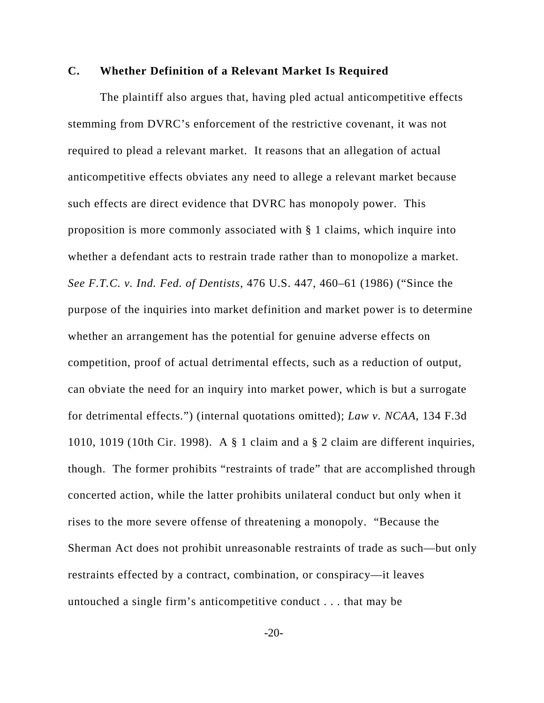## **C. Whether Definition of a Relevant Market Is Required**

 The plaintiff also argues that, having pled actual anticompetitive effects stemming from DVRC's enforcement of the restrictive covenant, it was not required to plead a relevant market. It reasons that an allegation of actual anticompetitive effects obviates any need to allege a relevant market because such effects are direct evidence that DVRC has monopoly power. This proposition is more commonly associated with § 1 claims, which inquire into whether a defendant acts to restrain trade rather than to monopolize a market. *See F.T.C. v. Ind. Fed. of Dentists*, 476 U.S. 447, 460–61 (1986) ("Since the purpose of the inquiries into market definition and market power is to determine whether an arrangement has the potential for genuine adverse effects on competition, proof of actual detrimental effects, such as a reduction of output, can obviate the need for an inquiry into market power, which is but a surrogate for detrimental effects.") (internal quotations omitted); *Law v. NCAA*, 134 F.3d 1010, 1019 (10th Cir. 1998). A § 1 claim and a § 2 claim are different inquiries, though. The former prohibits "restraints of trade" that are accomplished through concerted action, while the latter prohibits unilateral conduct but only when it rises to the more severe offense of threatening a monopoly. "Because the Sherman Act does not prohibit unreasonable restraints of trade as such—but only restraints effected by a contract, combination, or conspiracy—it leaves untouched a single firm's anticompetitive conduct . . . that may be

-20-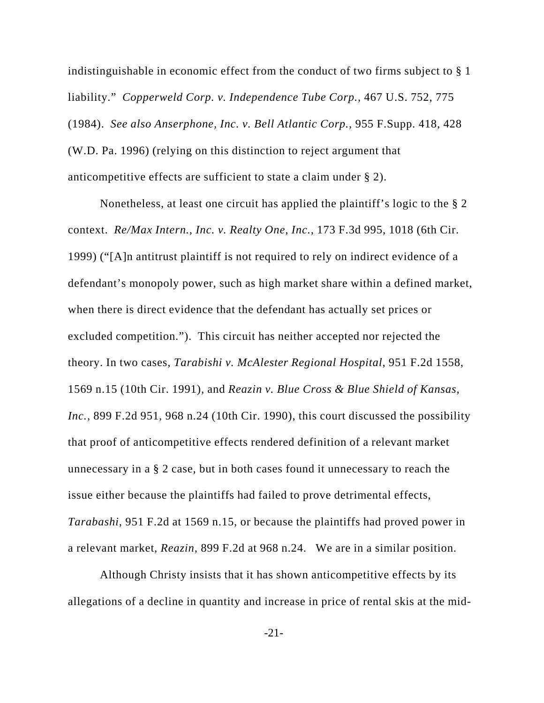indistinguishable in economic effect from the conduct of two firms subject to § 1 liability." *Copperweld Corp. v. Independence Tube Corp.*, 467 U.S. 752, 775 (1984). *See also Anserphone, Inc. v. Bell Atlantic Corp.*, 955 F.Supp. 418, 428 (W.D. Pa. 1996) (relying on this distinction to reject argument that anticompetitive effects are sufficient to state a claim under § 2).

Nonetheless, at least one circuit has applied the plaintiff's logic to the § 2 context. *Re/Max Intern., Inc. v. Realty One, Inc.*, 173 F.3d 995, 1018 (6th Cir. 1999) ("[A]n antitrust plaintiff is not required to rely on indirect evidence of a defendant's monopoly power, such as high market share within a defined market, when there is direct evidence that the defendant has actually set prices or excluded competition."). This circuit has neither accepted nor rejected the theory. In two cases, *Tarabishi v. McAlester Regional Hospital*, 951 F.2d 1558, 1569 n.15 (10th Cir. 1991), and *Reazin v. Blue Cross & Blue Shield of Kansas, Inc.*, 899 F.2d 951, 968 n.24 (10th Cir. 1990), this court discussed the possibility that proof of anticompetitive effects rendered definition of a relevant market unnecessary in a § 2 case, but in both cases found it unnecessary to reach the issue either because the plaintiffs had failed to prove detrimental effects, *Tarabashi*, 951 F.2d at 1569 n.15, or because the plaintiffs had proved power in a relevant market, *Reazin*, 899 F.2d at 968 n.24. We are in a similar position.

Although Christy insists that it has shown anticompetitive effects by its allegations of a decline in quantity and increase in price of rental skis at the mid-

-21-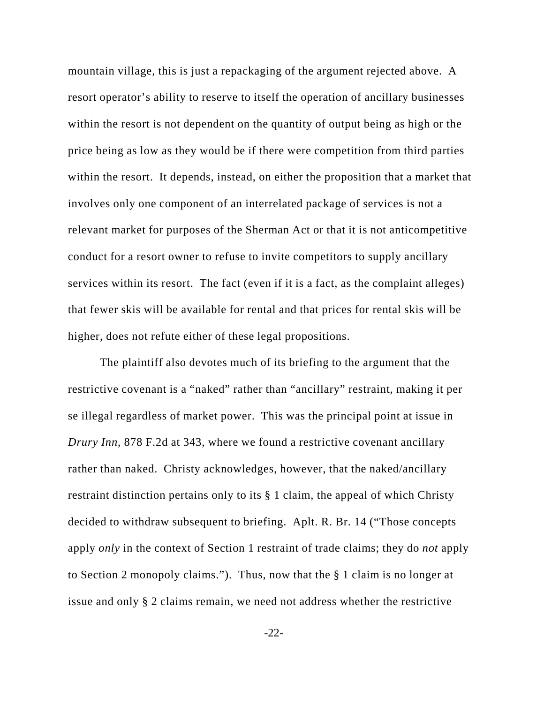mountain village, this is just a repackaging of the argument rejected above. A resort operator's ability to reserve to itself the operation of ancillary businesses within the resort is not dependent on the quantity of output being as high or the price being as low as they would be if there were competition from third parties within the resort. It depends, instead, on either the proposition that a market that involves only one component of an interrelated package of services is not a relevant market for purposes of the Sherman Act or that it is not anticompetitive conduct for a resort owner to refuse to invite competitors to supply ancillary services within its resort. The fact (even if it is a fact, as the complaint alleges) that fewer skis will be available for rental and that prices for rental skis will be higher, does not refute either of these legal propositions.

The plaintiff also devotes much of its briefing to the argument that the restrictive covenant is a "naked" rather than "ancillary" restraint, making it per se illegal regardless of market power. This was the principal point at issue in *Drury Inn*, 878 F.2d at 343, where we found a restrictive covenant ancillary rather than naked. Christy acknowledges, however, that the naked/ancillary restraint distinction pertains only to its § 1 claim, the appeal of which Christy decided to withdraw subsequent to briefing. Aplt. R. Br. 14 ("Those concepts apply *only* in the context of Section 1 restraint of trade claims; they do *not* apply to Section 2 monopoly claims."). Thus, now that the § 1 claim is no longer at issue and only § 2 claims remain, we need not address whether the restrictive

-22-